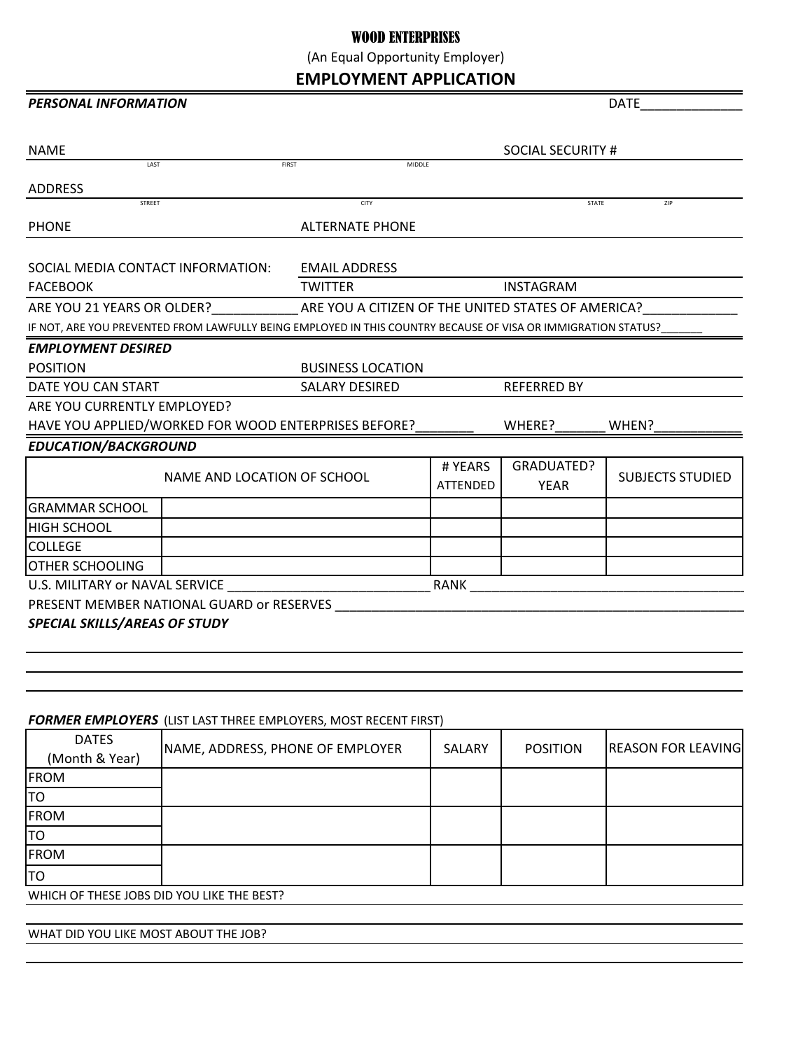## WOOD ENTERPRISES

(An Equal Opportunity Employer)

**EMPLOYMENT APPLICATION**

## **PERSONAL INFORMATION** DATE

| <b>NAME</b>                                          |                             |                                                                                                               | SOCIAL SECURITY #  |                   |                         |  |
|------------------------------------------------------|-----------------------------|---------------------------------------------------------------------------------------------------------------|--------------------|-------------------|-------------------------|--|
| LAST                                                 | <b>FIRST</b>                | MIDDLE                                                                                                        |                    |                   |                         |  |
| <b>ADDRESS</b>                                       |                             |                                                                                                               |                    |                   |                         |  |
| <b>STREET</b>                                        |                             | CITY                                                                                                          |                    | <b>STATE</b>      | ZIP                     |  |
| <b>PHONE</b>                                         |                             | <b>ALTERNATE PHONE</b>                                                                                        |                    |                   |                         |  |
|                                                      |                             |                                                                                                               |                    |                   |                         |  |
| SOCIAL MEDIA CONTACT INFORMATION:                    |                             | <b>EMAIL ADDRESS</b>                                                                                          |                    |                   |                         |  |
| <b>FACEBOOK</b>                                      |                             | <b>TWITTER</b><br><b>INSTAGRAM</b>                                                                            |                    |                   |                         |  |
|                                                      |                             | ARE YOU 21 YEARS OR OLDER? ARE YOU A CITIZEN OF THE UNITED STATES OF AMERICA?                                 |                    |                   |                         |  |
|                                                      |                             | IF NOT, ARE YOU PREVENTED FROM LAWFULLY BEING EMPLOYED IN THIS COUNTRY BECAUSE OF VISA OR IMMIGRATION STATUS? |                    |                   |                         |  |
| <b>EMPLOYMENT DESIRED</b>                            |                             |                                                                                                               |                    |                   |                         |  |
| <b>POSITION</b>                                      |                             | <b>BUSINESS LOCATION</b>                                                                                      |                    |                   |                         |  |
| DATE YOU CAN START                                   |                             | <b>SALARY DESIRED</b>                                                                                         | <b>REFERRED BY</b> |                   |                         |  |
| ARE YOU CURRENTLY EMPLOYED?                          |                             |                                                                                                               |                    |                   |                         |  |
| HAVE YOU APPLIED/WORKED FOR WOOD ENTERPRISES BEFORE? |                             | WHERE?<br>WHEN?                                                                                               |                    |                   |                         |  |
| <b>EDUCATION/BACKGROUND</b>                          |                             |                                                                                                               |                    |                   |                         |  |
|                                                      | NAME AND LOCATION OF SCHOOL |                                                                                                               | # YEARS            | <b>GRADUATED?</b> | <b>SUBJECTS STUDIED</b> |  |
|                                                      |                             |                                                                                                               | <b>ATTENDED</b>    | <b>YEAR</b>       |                         |  |
| <b>GRAMMAR SCHOOL</b>                                |                             |                                                                                                               |                    |                   |                         |  |
| <b>HIGH SCHOOL</b>                                   |                             |                                                                                                               |                    |                   |                         |  |
| <b>COLLEGE</b>                                       |                             |                                                                                                               |                    |                   |                         |  |
| <b>OTHER SCHOOLING</b>                               |                             |                                                                                                               |                    |                   |                         |  |
| U.S. MILITARY or NAVAL SERVICE                       |                             |                                                                                                               | <b>RANK</b>        |                   |                         |  |
| PRESENT MEMBER NATIONAL GUARD or RESERVES            |                             |                                                                                                               |                    |                   |                         |  |
| <b>SPECIAL SKILLS/AREAS OF STUDY</b>                 |                             |                                                                                                               |                    |                   |                         |  |

## *FORMER EMPLOYERS* (LIST LAST THREE EMPLOYERS, MOST RECENT FIRST)

| <b>DATES</b>                               | NAME, ADDRESS, PHONE OF EMPLOYER | <b>SALARY</b> | <b>POSITION</b> | <b>REASON FOR LEAVING</b> |  |
|--------------------------------------------|----------------------------------|---------------|-----------------|---------------------------|--|
| (Month & Year)                             |                                  |               |                 |                           |  |
| <b>FROM</b>                                |                                  |               |                 |                           |  |
| TO                                         |                                  |               |                 |                           |  |
| <b>FROM</b>                                |                                  |               |                 |                           |  |
| lTO                                        |                                  |               |                 |                           |  |
| <b>FROM</b>                                |                                  |               |                 |                           |  |
| TO                                         |                                  |               |                 |                           |  |
| WHICH OF THESE JOBS DID YOU LIKE THE BEST? |                                  |               |                 |                           |  |

WHAT DID YOU LIKE MOST ABOUT THE JOB?